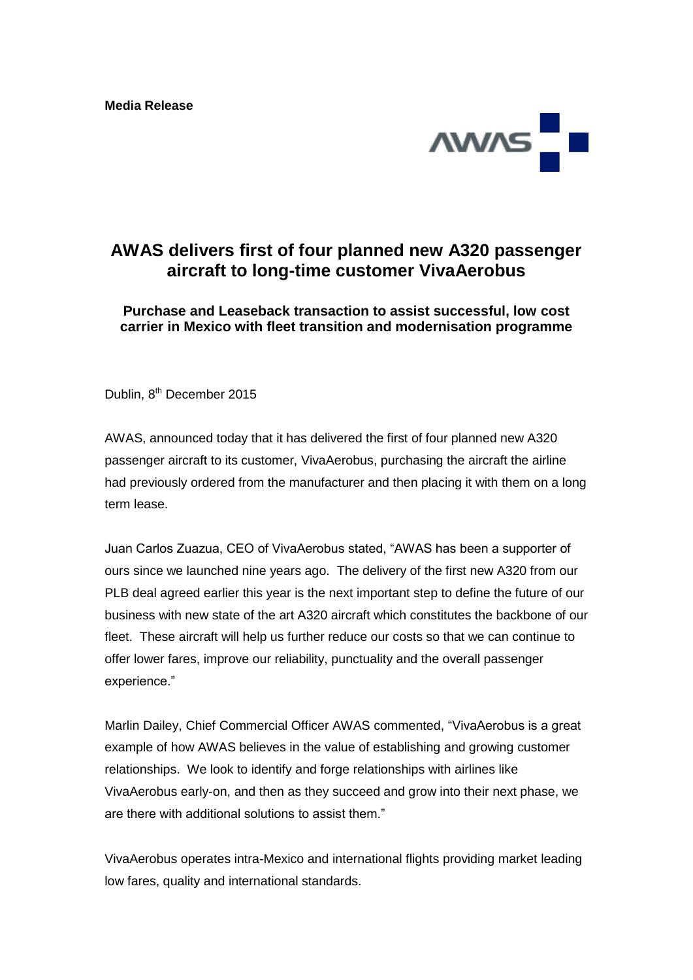**Media Release**



## **AWAS delivers first of four planned new A320 passenger aircraft to long-time customer VivaAerobus**

**Purchase and Leaseback transaction to assist successful, low cost carrier in Mexico with fleet transition and modernisation programme**

Dublin, 8<sup>th</sup> December 2015

AWAS, announced today that it has delivered the first of four planned new A320 passenger aircraft to its customer, VivaAerobus, purchasing the aircraft the airline had previously ordered from the manufacturer and then placing it with them on a long term lease.

Juan Carlos Zuazua, CEO of VivaAerobus stated, "AWAS has been a supporter of ours since we launched nine years ago. The delivery of the first new A320 from our PLB deal agreed earlier this year is the next important step to define the future of our business with new state of the art A320 aircraft which constitutes the backbone of our fleet. These aircraft will help us further reduce our costs so that we can continue to offer lower fares, improve our reliability, punctuality and the overall passenger experience."

Marlin Dailey, Chief Commercial Officer AWAS commented, "VivaAerobus is a great example of how AWAS believes in the value of establishing and growing customer relationships. We look to identify and forge relationships with airlines like VivaAerobus early-on, and then as they succeed and grow into their next phase, we are there with additional solutions to assist them."

VivaAerobus operates intra-Mexico and international flights providing market leading low fares, quality and international standards.